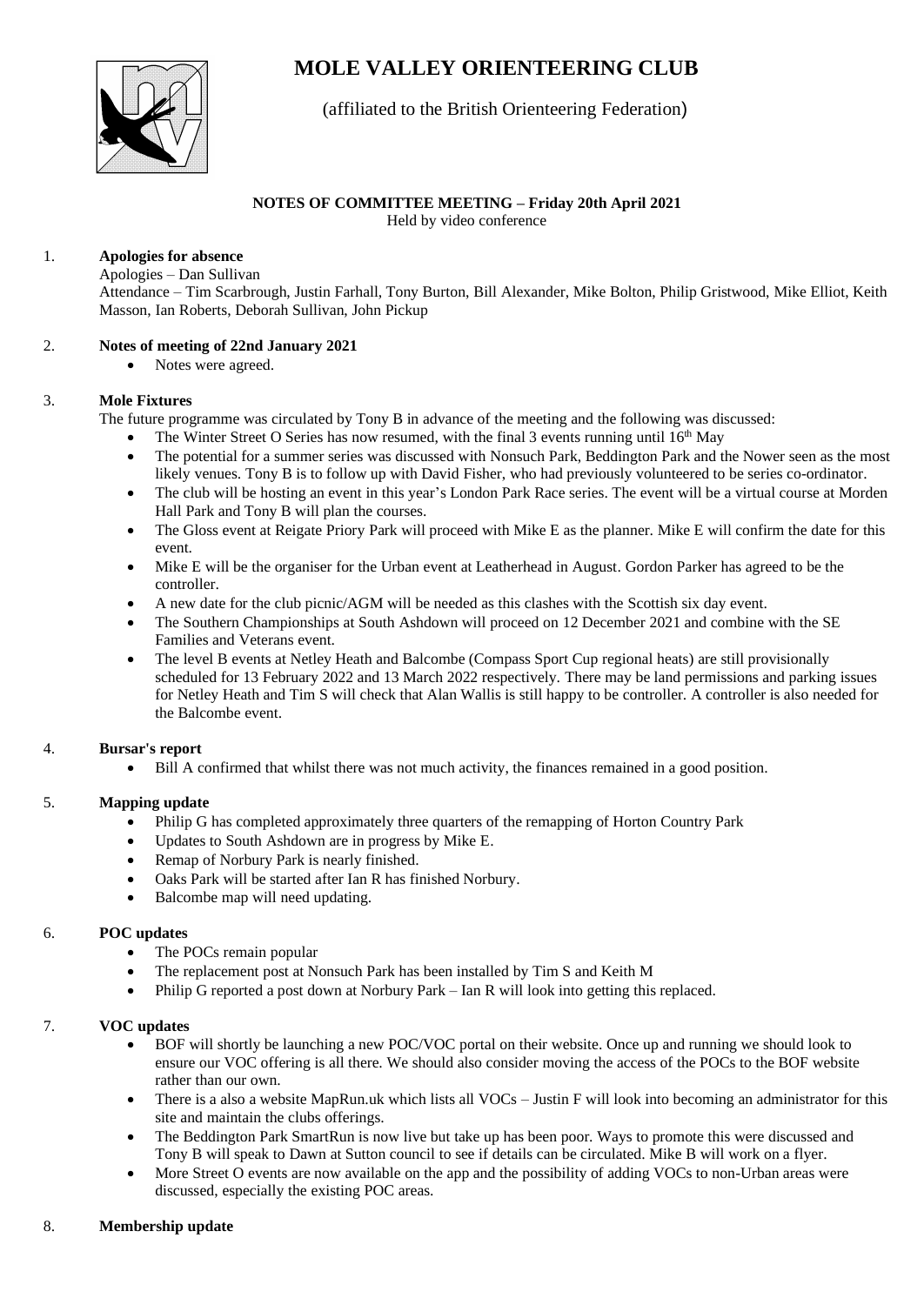# **MOLE VALLEY ORIENTEERING CLUB**



# (affiliated to the British Orienteering Federation)

# **NOTES OF COMMITTEE MEETING – Friday 20th April 2021**

Held by video conference

#### 1. **Apologies for absence**

Apologies – Dan Sullivan

Attendance – Tim Scarbrough, Justin Farhall, Tony Burton, Bill Alexander, Mike Bolton, Philip Gristwood, Mike Elliot, Keith Masson, Ian Roberts, Deborah Sullivan, John Pickup

#### 2. **Notes of meeting of 22nd January 2021**

• Notes were agreed.

#### 3. **Mole Fixtures**

The future programme was circulated by Tony B in advance of the meeting and the following was discussed:

- The Winter Street O Series has now resumed, with the final 3 events running until  $16<sup>th</sup>$  May
- The potential for a summer series was discussed with Nonsuch Park, Beddington Park and the Nower seen as the most likely venues. Tony B is to follow up with David Fisher, who had previously volunteered to be series co-ordinator.
- The club will be hosting an event in this year's London Park Race series. The event will be a virtual course at Morden Hall Park and Tony B will plan the courses.
- The Gloss event at Reigate Priory Park will proceed with Mike E as the planner. Mike E will confirm the date for this event.
- Mike E will be the organiser for the Urban event at Leatherhead in August. Gordon Parker has agreed to be the controller.
- A new date for the club picnic/AGM will be needed as this clashes with the Scottish six day event.
- The Southern Championships at South Ashdown will proceed on 12 December 2021 and combine with the SE Families and Veterans event.
- The level B events at Netley Heath and Balcombe (Compass Sport Cup regional heats) are still provisionally scheduled for 13 February 2022 and 13 March 2022 respectively. There may be land permissions and parking issues for Netley Heath and Tim S will check that Alan Wallis is still happy to be controller. A controller is also needed for the Balcombe event.

## 4. **Bursar's report**

• Bill A confirmed that whilst there was not much activity, the finances remained in a good position.

## 5. **Mapping update**

- Philip G has completed approximately three quarters of the remapping of Horton Country Park
- Updates to South Ashdown are in progress by Mike E.
- Remap of Norbury Park is nearly finished.
- Oaks Park will be started after Ian R has finished Norbury.
- Balcombe map will need updating.

## 6. **POC updates**

- The POCs remain popular
- The replacement post at Nonsuch Park has been installed by Tim S and Keith M
- Philip G reported a post down at Norbury Park Ian R will look into getting this replaced.

## 7. **VOC updates**

- BOF will shortly be launching a new POC/VOC portal on their website. Once up and running we should look to ensure our VOC offering is all there. We should also consider moving the access of the POCs to the BOF website rather than our own.
- There is a also a website MapRun.uk which lists all VOCs Justin F will look into becoming an administrator for this site and maintain the clubs offerings.
- The Beddington Park SmartRun is now live but take up has been poor. Ways to promote this were discussed and Tony B will speak to Dawn at Sutton council to see if details can be circulated. Mike B will work on a flyer.
- More Street O events are now available on the app and the possibility of adding VOCs to non-Urban areas were discussed, especially the existing POC areas.

## 8. **Membership update**